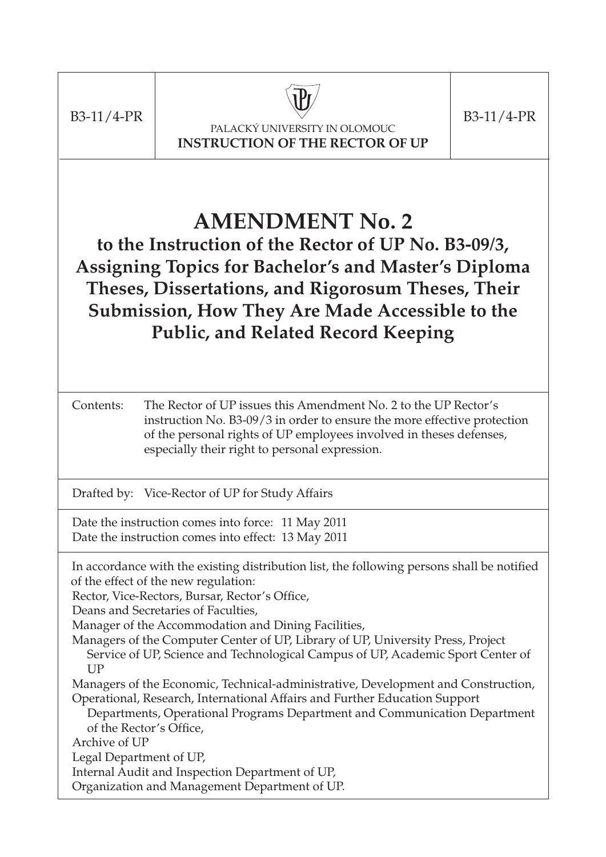

PALACKÝ UNIVERSITY IN OLOMOUC **INSTRUCTION OF THE RECTOR OF UP**

 $B3-11/4-PR$  B3-11/4-PR

# **AMENDMENT No. 2**

**to the Instruction of the Rector of UP No. B3-09/3, Assigning Topics for Bachelor's and Master's Diploma Theses, Dissertations, and Rigorosum Theses, Their Submission, How They Are Made Accessible to the Public, and Related Record Keeping**

Contents: The Rector of UP issues this Amendment No. 2 to the UP Rector's instruction No. B3-09/3 in order to ensure the more effective protection of the personal rights of UP employees involved in theses defenses, especially their right to personal expression.

Drafted by: Vice-Rector of UP for Study Affairs

Date the instruction comes into force: 11 May 2011 Date the instruction comes into effect: 13 May 2011

In accordance with the existing distribution list, the following persons shall be notified of the effect of the new regulation:

Rector, Vice-Rectors, Bursar, Rector's Office,

Deans and Secretaries of Faculties,

Manager of the Accommodation and Dining Facilities,

Managers of the Computer Center of UP, Library of UP, University Press, Project Service of UP, Science and Technological Campus of UP, Academic Sport Center of **UP** 

Managers of the Economic, Technical-administrative, Development and Construction, Operational, Research, International Affairs and Further Education Support

Departments, Operational Programs Department and Communication Department of the Rector's Office,

Archive of UP

Legal Department of UP,

Internal Audit and Inspection Department of UP,

Organization and Management Department of UP.